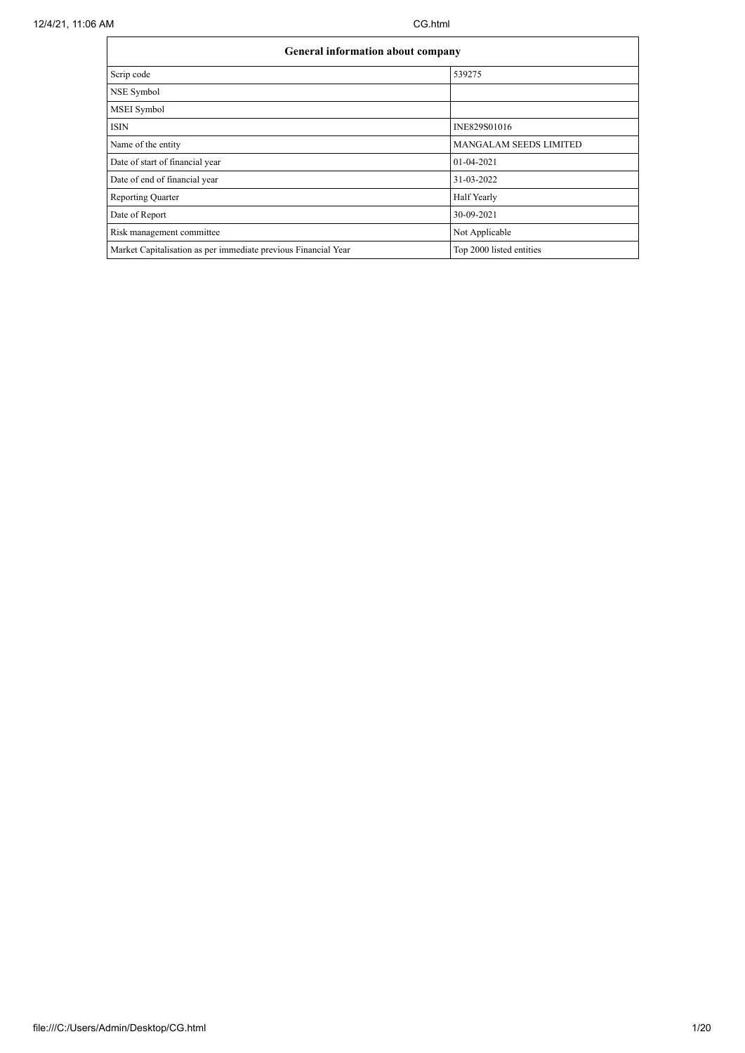| <b>General information about company</b>                       |                               |
|----------------------------------------------------------------|-------------------------------|
| Scrip code                                                     | 539275                        |
| NSE Symbol                                                     |                               |
| MSEI Symbol                                                    |                               |
| <b>ISIN</b>                                                    | INE829S01016                  |
| Name of the entity                                             | <b>MANGALAM SEEDS LIMITED</b> |
| Date of start of financial year                                | 01-04-2021                    |
| Date of end of financial year                                  | 31-03-2022                    |
| <b>Reporting Quarter</b>                                       | Half Yearly                   |
| Date of Report                                                 | 30-09-2021                    |
| Risk management committee                                      | Not Applicable                |
| Market Capitalisation as per immediate previous Financial Year | Top 2000 listed entities      |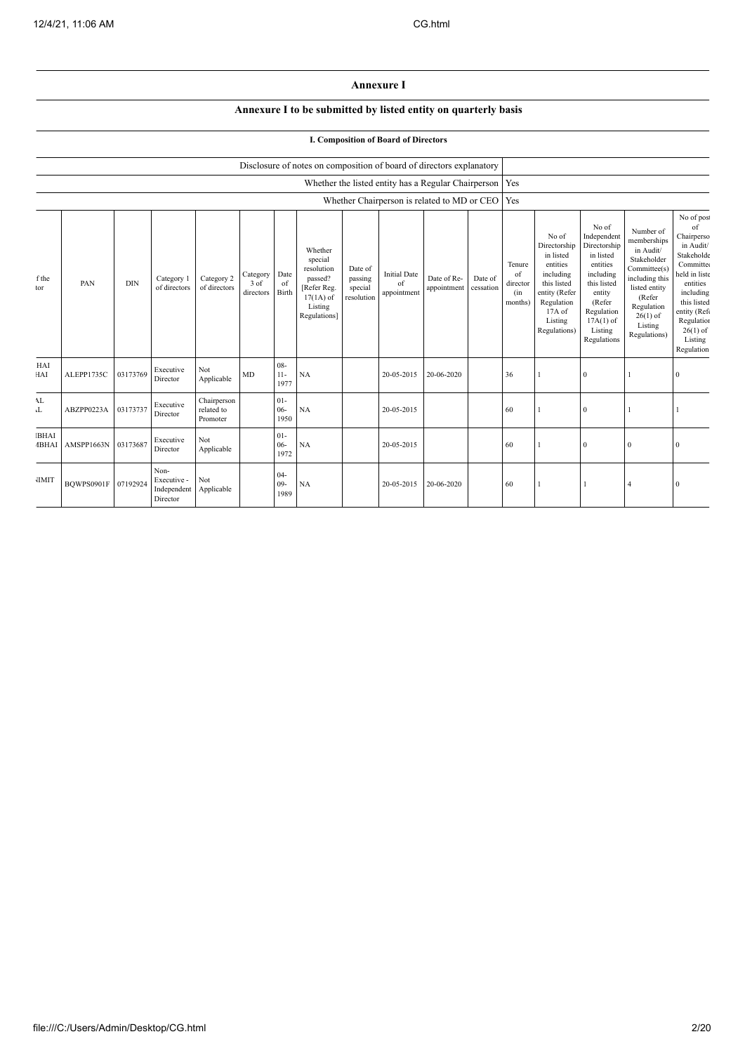## **Annexure I**

## **Annexure I to be submitted by listed entity on quarterly basis**

## **I. Composition of Board of Directors**

|                             |            |            |                                                |                                       |                               |                          | Disclosure of notes on composition of board of directors explanatory                                 |                                             |                                                           |                            |                      |                                            |                                                                                                                                                |                                                                                                                                                                      |                                                                                                                                                                          |                                                                                                                                                                                                      |
|-----------------------------|------------|------------|------------------------------------------------|---------------------------------------|-------------------------------|--------------------------|------------------------------------------------------------------------------------------------------|---------------------------------------------|-----------------------------------------------------------|----------------------------|----------------------|--------------------------------------------|------------------------------------------------------------------------------------------------------------------------------------------------|----------------------------------------------------------------------------------------------------------------------------------------------------------------------|--------------------------------------------------------------------------------------------------------------------------------------------------------------------------|------------------------------------------------------------------------------------------------------------------------------------------------------------------------------------------------------|
|                             |            |            |                                                |                                       |                               |                          |                                                                                                      |                                             | Whether the listed entity has a Regular Chairperson   Yes |                            |                      |                                            |                                                                                                                                                |                                                                                                                                                                      |                                                                                                                                                                          |                                                                                                                                                                                                      |
|                             |            |            |                                                |                                       |                               |                          |                                                                                                      |                                             | Whether Chairperson is related to MD or CEO   Yes         |                            |                      |                                            |                                                                                                                                                |                                                                                                                                                                      |                                                                                                                                                                          |                                                                                                                                                                                                      |
| f the<br>tor                | PAN        | <b>DIN</b> | Category 1<br>of directors                     | Category 2<br>of directors            | Category<br>3 of<br>directors | Date<br>of<br>Birth      | Whether<br>special<br>resolution<br>passed?<br>[Refer Reg.<br>$17(1A)$ of<br>Listing<br>Regulations] | Date of<br>passing<br>special<br>resolution | <b>Initial Date</b><br>of<br>appointment                  | Date of Re-<br>appointment | Date of<br>cessation | Tenure<br>of<br>director<br>(in<br>months) | No of<br>Directorship<br>in listed<br>entities<br>including<br>this listed<br>entity (Refer<br>Regulation<br>17A of<br>Listing<br>Regulations) | No of<br>Independent<br>Directorship<br>in listed<br>entities<br>including<br>this listed<br>entity<br>(Refer<br>Regulation<br>$17A(1)$ of<br>Listing<br>Regulations | Number of<br>memberships<br>in Audit/<br>Stakeholder<br>Committee(s)<br>including this<br>listed entity<br>(Refer<br>Regulation<br>$26(1)$ of<br>Listing<br>Regulations) | No of post<br>of<br>Chairperso<br>in Audit/<br>Stakeholde<br>Committee<br>held in liste<br>entities<br>including<br>this listed<br>entity (Refe<br>Regulation<br>$26(1)$ of<br>Listing<br>Regulation |
| HAI<br>HAI                  | ALEPP1735C | 03173769   | Executive<br>Director                          | Not<br>Applicable                     | MD                            | $08 -$<br>$11-$<br>1977  | NA                                                                                                   |                                             | 20-05-2015                                                | 20-06-2020                 |                      | 36                                         |                                                                                                                                                | $\mathbf{0}$                                                                                                                                                         |                                                                                                                                                                          | $\Omega$                                                                                                                                                                                             |
| AL<br>T                     | ABZPP0223A | 03173737   | Executive<br>Director                          | Chairperson<br>related to<br>Promoter |                               | $01 -$<br>$06 -$<br>1950 | NA                                                                                                   |                                             | 20-05-2015                                                |                            |                      | 60                                         |                                                                                                                                                | $\mathbf{0}$                                                                                                                                                         |                                                                                                                                                                          |                                                                                                                                                                                                      |
| <b>BHAI</b><br><b>IBHAI</b> | AMSPP1663N | 03173687   | Executive<br>Director                          | Not<br>Applicable                     |                               | $01 -$<br>$06 -$<br>1972 | NA                                                                                                   |                                             | 20-05-2015                                                |                            |                      | 60                                         |                                                                                                                                                | $\mathbf{0}$                                                                                                                                                         | $\mathbf{0}$                                                                                                                                                             | $\sqrt{ }$                                                                                                                                                                                           |
| <b>JIMIT</b>                | BOWPS0901F | 07192924   | Non-<br>Executive -<br>Independent<br>Director | Not<br>Applicable                     |                               | $04 -$<br>$09 -$<br>1989 | NA                                                                                                   |                                             | 20-05-2015                                                | 20-06-2020                 |                      | 60                                         |                                                                                                                                                |                                                                                                                                                                      |                                                                                                                                                                          |                                                                                                                                                                                                      |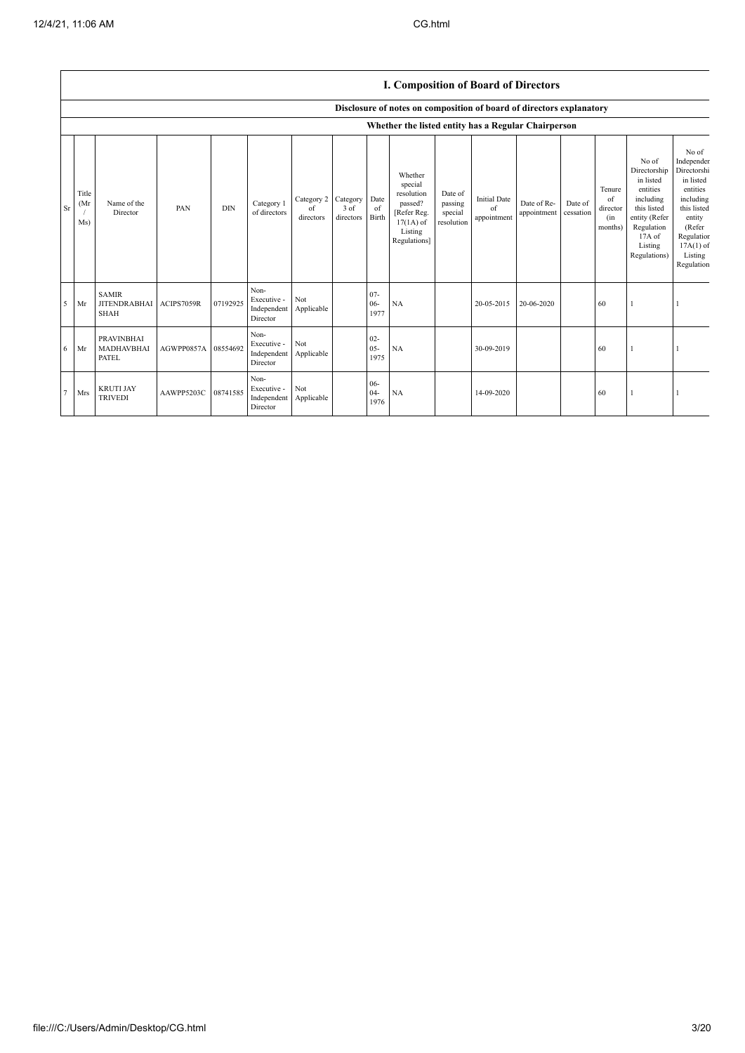|        |                      |                                                    |                     |            |                                                |                               |                               |                          | <b>1. Composition of Board of Directors</b>                                                          |                                             |                                          |                            |                      |                                            |                                                                                                                                                |                                                                                                                                                                   |
|--------|----------------------|----------------------------------------------------|---------------------|------------|------------------------------------------------|-------------------------------|-------------------------------|--------------------------|------------------------------------------------------------------------------------------------------|---------------------------------------------|------------------------------------------|----------------------------|----------------------|--------------------------------------------|------------------------------------------------------------------------------------------------------------------------------------------------|-------------------------------------------------------------------------------------------------------------------------------------------------------------------|
|        |                      |                                                    |                     |            |                                                |                               |                               |                          | Disclosure of notes on composition of board of directors explanatory                                 |                                             |                                          |                            |                      |                                            |                                                                                                                                                |                                                                                                                                                                   |
|        |                      |                                                    |                     |            |                                                |                               |                               |                          | Whether the listed entity has a Regular Chairperson                                                  |                                             |                                          |                            |                      |                                            |                                                                                                                                                |                                                                                                                                                                   |
| Sr     | Title<br>(Mr)<br>Ms) | Name of the<br>Director                            | PAN                 | <b>DIN</b> | Category 1<br>of directors                     | Category 2<br>of<br>directors | Category<br>3 of<br>directors | Date<br>of<br>Birth      | Whether<br>special<br>resolution<br>passed?<br>[Refer Reg.<br>$17(1A)$ of<br>Listing<br>Regulations] | Date of<br>passing<br>special<br>resolution | <b>Initial Date</b><br>of<br>appointment | Date of Re-<br>appointment | Date of<br>cessation | Tenure<br>of<br>director<br>(in<br>months) | No of<br>Directorship<br>in listed<br>entities<br>including<br>this listed<br>entity (Refer<br>Regulation<br>17A of<br>Listing<br>Regulations) | No of<br>Independer<br>Directorshi<br>in listed<br>entities<br>including<br>this listed<br>entity<br>(Refer<br>Regulation<br>$17A(1)$ of<br>Listing<br>Regulation |
| 5      | Mr                   | <b>SAMIR</b><br><b>JITENDRABHAI</b><br><b>SHAH</b> | ACIPS7059R          | 07192925   | Non-<br>Executive -<br>Independent<br>Director | Not<br>Applicable             |                               | $07 -$<br>$06 -$<br>1977 | NA                                                                                                   |                                             | 20-05-2015                               | 20-06-2020                 |                      | 60                                         |                                                                                                                                                |                                                                                                                                                                   |
| 6      | Mr                   | <b>PRAVINBHAI</b><br>MADHAVBHAI<br>PATEL           | AGWPP0857A 08554692 |            | Non-<br>Executive -<br>Independent<br>Director | Not<br>Applicable             |                               | $02 -$<br>$05 -$<br>1975 | NA                                                                                                   |                                             | 30-09-2019                               |                            |                      | 60                                         |                                                                                                                                                |                                                                                                                                                                   |
| $\tau$ | Mrs                  | <b>KRUTI JAY</b><br><b>TRIVEDI</b>                 | AAWPP5203C          | 08741585   | Non-<br>Executive -<br>Independent<br>Director | Not<br>Applicable             |                               | $06 -$<br>$04 -$<br>1976 | NA                                                                                                   |                                             | 14-09-2020                               |                            |                      | 60                                         |                                                                                                                                                |                                                                                                                                                                   |

## I. Composition of **Board** of Directors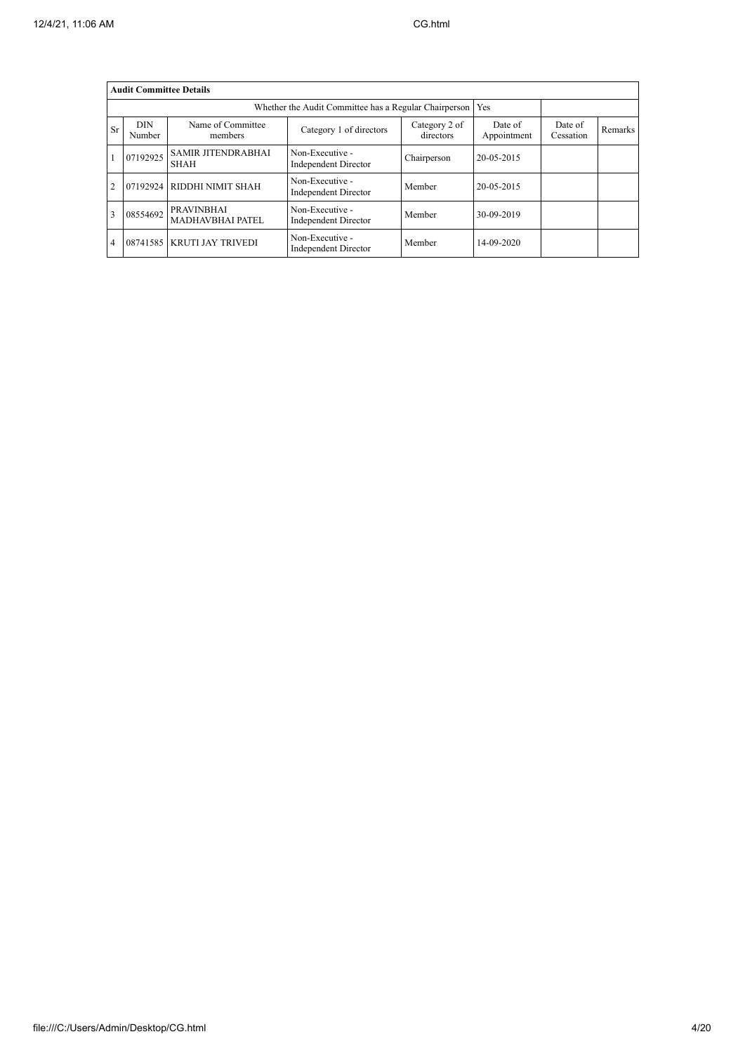|                | <b>Audit Committee Details</b> |                                              |                                                             |                            |                        |                      |         |
|----------------|--------------------------------|----------------------------------------------|-------------------------------------------------------------|----------------------------|------------------------|----------------------|---------|
|                |                                |                                              | Whether the Audit Committee has a Regular Chairperson   Yes |                            |                        |                      |         |
| Sr             | <b>DIN</b><br>Number           | Name of Committee<br>members                 | Category 1 of directors                                     | Category 2 of<br>directors | Date of<br>Appointment | Date of<br>Cessation | Remarks |
|                | 07192925                       | <b>SAMIR JITENDRABHAI</b><br><b>SHAH</b>     | Non-Executive -<br>Independent Director                     | Chairperson                | 20-05-2015             |                      |         |
| $\overline{2}$ | 07192924                       | RIDDHI NIMIT SHAH                            | Non-Executive -<br>Independent Director                     | Member                     | 20-05-2015             |                      |         |
| 3              | 08554692                       | <b>PRAVINBHAI</b><br><b>MADHAVBHAI PATEL</b> | Non-Executive -<br><b>Independent Director</b>              | Member                     | 30-09-2019             |                      |         |
| 4              | 08741585                       | <b>KRUTI JAY TRIVEDI</b>                     | Non-Executive -<br>Independent Director                     | Member                     | 14-09-2020             |                      |         |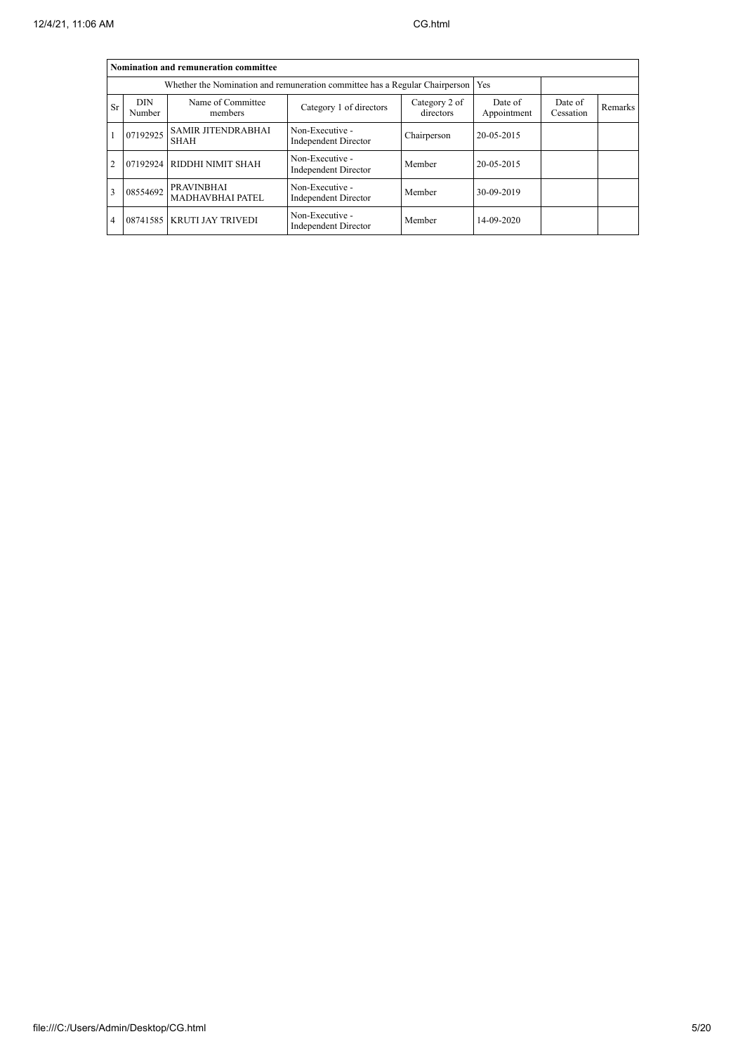|              |                      | Nomination and remuneration committee                                             |                                         |                        |                      |         |  |
|--------------|----------------------|-----------------------------------------------------------------------------------|-----------------------------------------|------------------------|----------------------|---------|--|
|              |                      | Whether the Nomination and remuneration committee has a Regular Chairperson   Yes |                                         |                        |                      |         |  |
| <b>Sr</b>    | <b>DIN</b><br>Number | Name of Committee<br>members                                                      | Category 2 of<br>directors              | Date of<br>Appointment | Date of<br>Cessation | Remarks |  |
|              | 07192925             | <b>SAMIR JITENDRABHAI</b><br><b>SHAH</b>                                          | Non-Executive -<br>Independent Director | Chairperson            | 20-05-2015           |         |  |
|              |                      | 07192924 RIDDHI NIMIT SHAH                                                        | Non-Executive -<br>Independent Director | Member                 | 20-05-2015           |         |  |
| $\mathbf{3}$ | 08554692             | <b>PRAVINBHAI</b><br><b>MADHAVBHAI PATEL</b>                                      | Non-Executive -<br>Independent Director | Member                 | 30-09-2019           |         |  |
| 4            |                      | 08741585 KRUTI JAY TRIVEDI                                                        | Non-Executive -<br>Independent Director | Member                 | 14-09-2020           |         |  |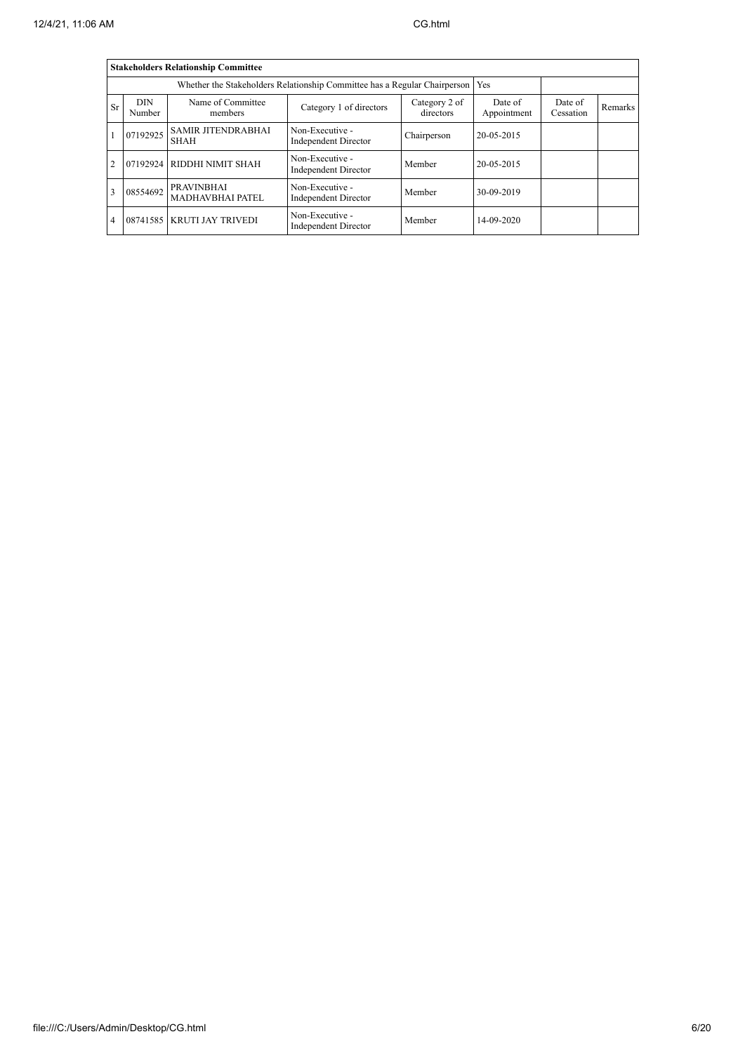|                |                      | <b>Stakeholders Relationship Committee</b>   |                                                                                 |                            |                        |                      |         |
|----------------|----------------------|----------------------------------------------|---------------------------------------------------------------------------------|----------------------------|------------------------|----------------------|---------|
|                |                      |                                              | Whether the Stakeholders Relationship Committee has a Regular Chairperson   Yes |                            |                        |                      |         |
| <b>Sr</b>      | <b>DIN</b><br>Number | Name of Committee<br>members                 | Category 1 of directors                                                         | Category 2 of<br>directors | Date of<br>Appointment | Date of<br>Cessation | Remarks |
|                | 07192925             | <b>SAMIR JITENDRABHAI</b><br><b>SHAH</b>     | Non-Executive -<br>Independent Director                                         | Chairperson                | 20-05-2015             |                      |         |
|                | 07192924             | RIDDHI NIMIT SHAH                            | Non-Executive -<br>Independent Director                                         | Member                     | 20-05-2015             |                      |         |
| 3              | 08554692             | <b>PRAVINBHAI</b><br><b>MADHAVBHAI PATEL</b> | Non-Executive -<br>Independent Director                                         | Member                     | 30-09-2019             |                      |         |
| $\overline{4}$ |                      | 08741585 KRUTI JAY TRIVEDI                   | Non-Executive -<br>Independent Director                                         | Member                     | 14-09-2020             |                      |         |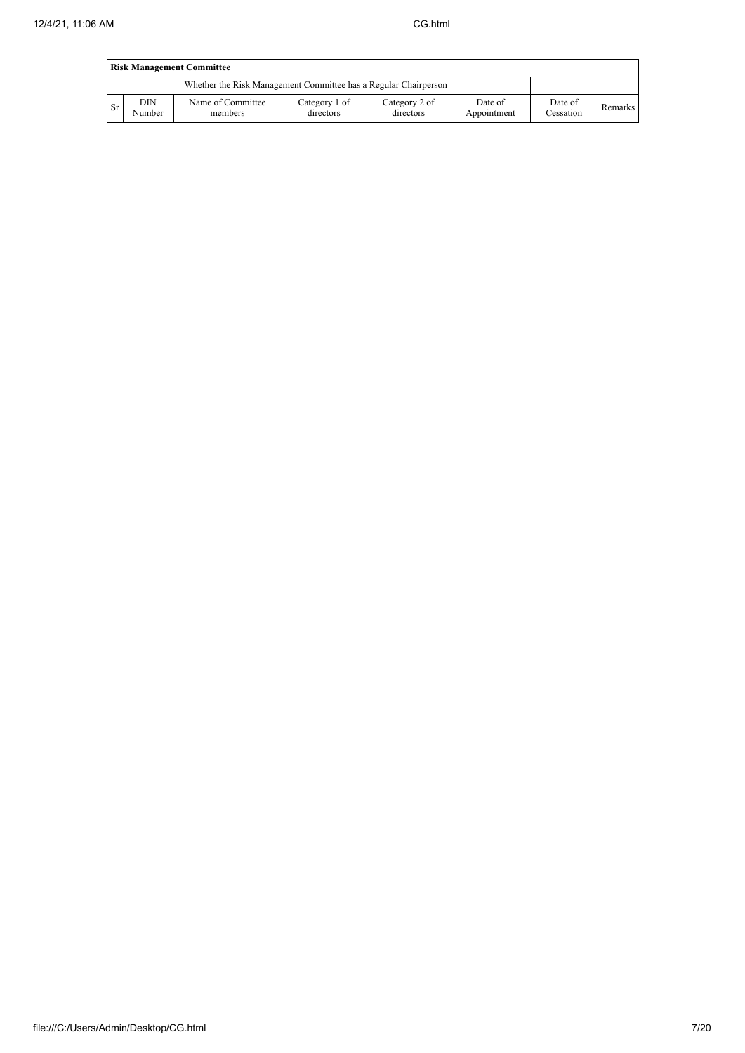|           | <b>Risk Management Committee</b> |                                                                 |                            |                            |                        |                      |         |  |  |  |
|-----------|----------------------------------|-----------------------------------------------------------------|----------------------------|----------------------------|------------------------|----------------------|---------|--|--|--|
|           |                                  | Whether the Risk Management Committee has a Regular Chairperson |                            |                            |                        |                      |         |  |  |  |
| <b>Sr</b> | DIN<br>Number                    | Name of Committee<br>members                                    | Category 1 of<br>directors | Category 2 of<br>directors | Date of<br>Appointment | Date of<br>Cessation | Remarks |  |  |  |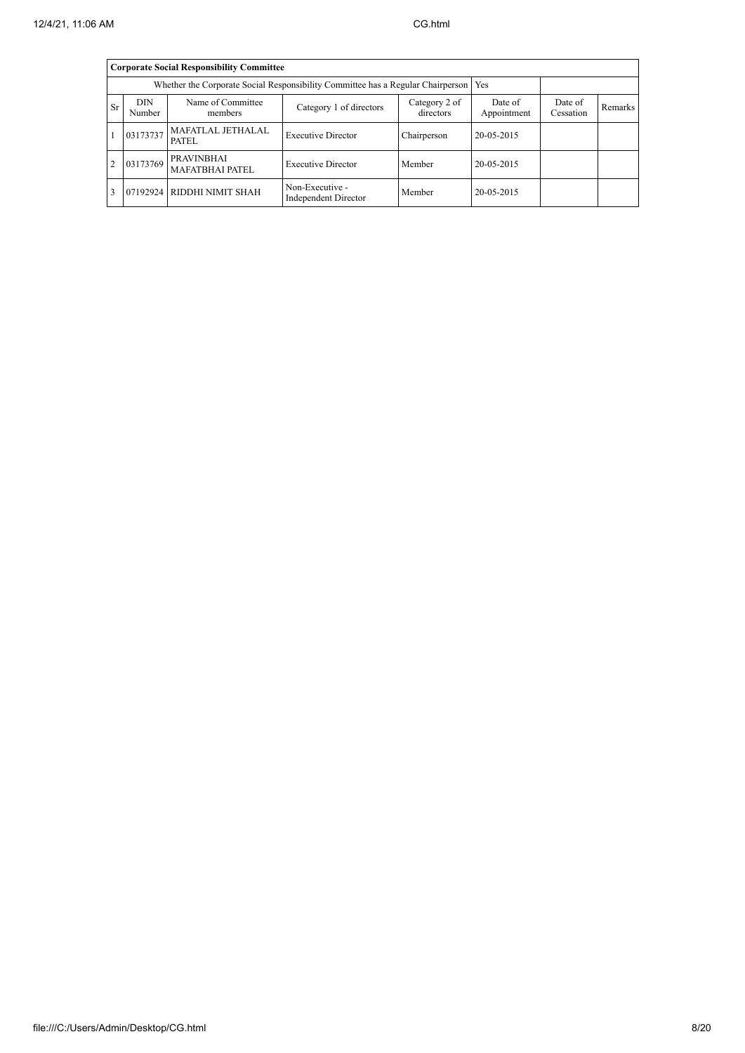|                |                      | <b>Corporate Social Responsibility Committee</b> |                                                                                       |                            |                        |                      |         |
|----------------|----------------------|--------------------------------------------------|---------------------------------------------------------------------------------------|----------------------------|------------------------|----------------------|---------|
|                |                      |                                                  | Whether the Corporate Social Responsibility Committee has a Regular Chairperson   Yes |                            |                        |                      |         |
| <b>Sr</b>      | <b>DIN</b><br>Number | Name of Committee<br>members                     | Category 1 of directors                                                               | Category 2 of<br>directors | Date of<br>Appointment | Date of<br>Cessation | Remarks |
|                | 03173737             | MAFATLAL JETHALAL<br>PATEL                       | <b>Executive Director</b>                                                             | Chairperson                | 20-05-2015             |                      |         |
| $\overline{2}$ | 03173769             | <b>PRAVINBHAI</b><br><b>MAFATBHAI PATEL</b>      | <b>Executive Director</b>                                                             | Member                     | 20-05-2015             |                      |         |
|                |                      | 07192924 RIDDHI NIMIT SHAH                       | Non-Executive -<br>Independent Director                                               | Member                     | 20-05-2015             |                      |         |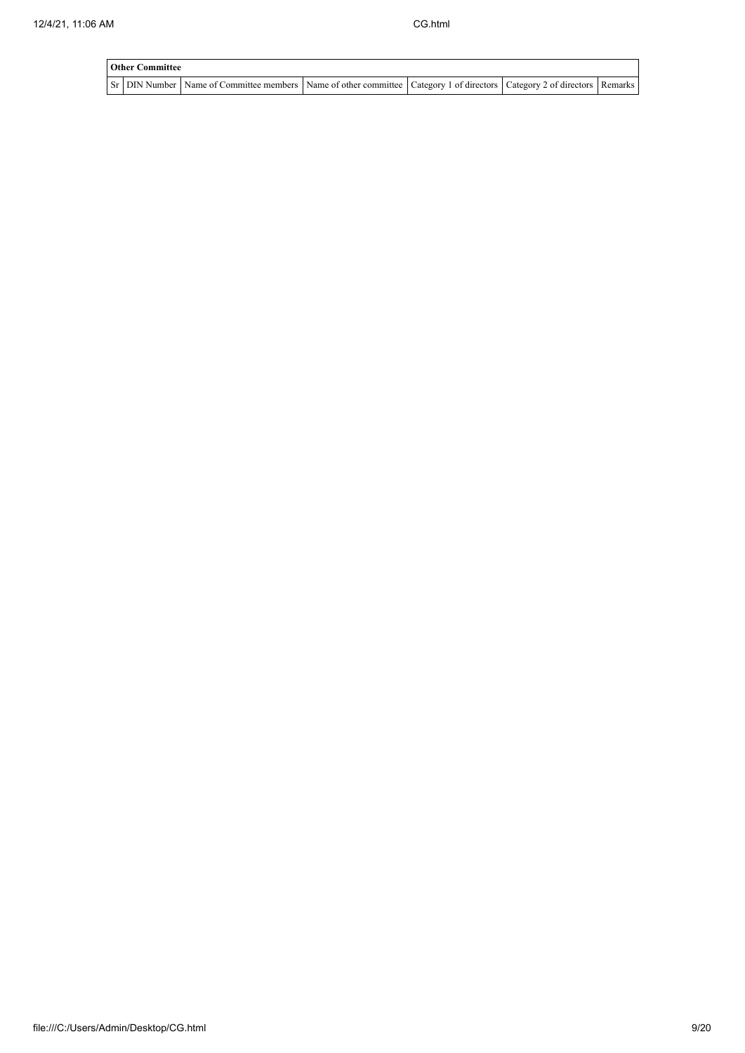| <b>Other Committee</b> |                                                                                                                                     |  |  |
|------------------------|-------------------------------------------------------------------------------------------------------------------------------------|--|--|
|                        | Sr   DIN Number   Name of Committee members   Name of other committee   Category 1 of directors   Category 2 of directors   Remarks |  |  |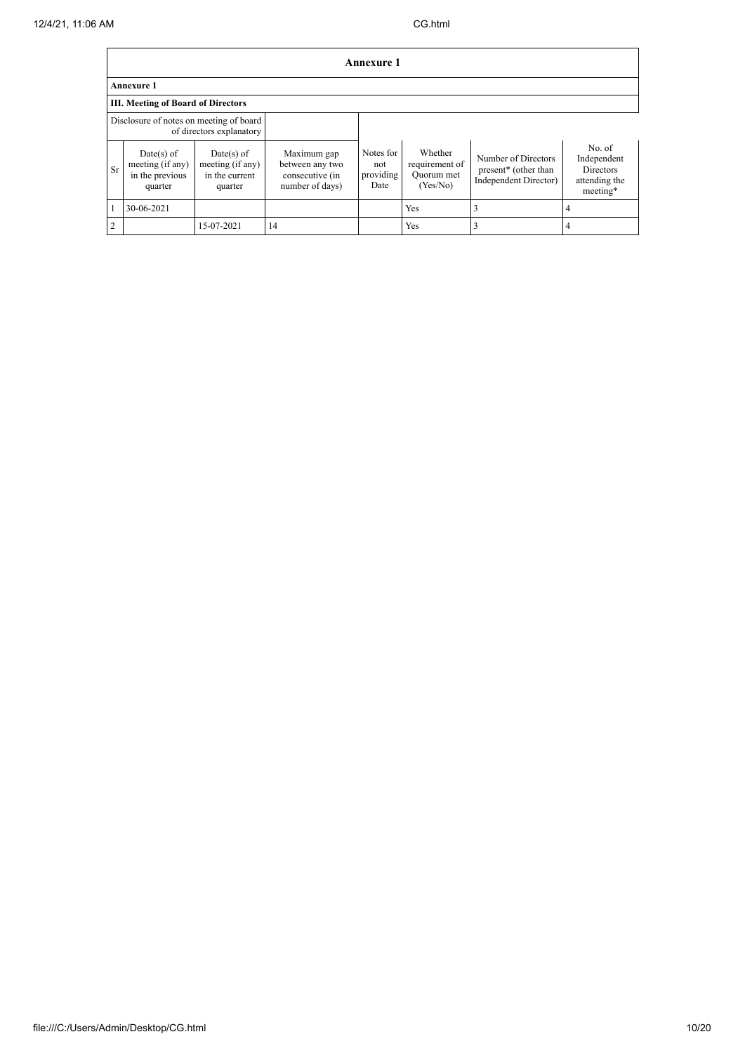|                |                                                                     |                                                               |                                                                      | Annexure 1                            |                                                     |                                                                      |                                                                        |  |  |  |
|----------------|---------------------------------------------------------------------|---------------------------------------------------------------|----------------------------------------------------------------------|---------------------------------------|-----------------------------------------------------|----------------------------------------------------------------------|------------------------------------------------------------------------|--|--|--|
|                | <b>Annexure 1</b>                                                   |                                                               |                                                                      |                                       |                                                     |                                                                      |                                                                        |  |  |  |
|                | <b>III. Meeting of Board of Directors</b>                           |                                                               |                                                                      |                                       |                                                     |                                                                      |                                                                        |  |  |  |
|                | Disclosure of notes on meeting of board<br>of directors explanatory |                                                               |                                                                      |                                       |                                                     |                                                                      |                                                                        |  |  |  |
| Sr             | $Date(s)$ of<br>meeting (if any)<br>in the previous<br>quarter      | $Date(s)$ of<br>meeting (if any)<br>in the current<br>quarter | Maximum gap<br>between any two<br>consecutive (in<br>number of days) | Notes for<br>not<br>providing<br>Date | Whether<br>requirement of<br>Quorum met<br>(Yes/No) | Number of Directors<br>present* (other than<br>Independent Director) | No. of<br>Independent<br><b>Directors</b><br>attending the<br>meeting* |  |  |  |
|                | 30-06-2021                                                          |                                                               |                                                                      |                                       | Yes                                                 |                                                                      | 4                                                                      |  |  |  |
| $\overline{2}$ |                                                                     | 15-07-2021                                                    | 14                                                                   |                                       | Yes                                                 |                                                                      | 4                                                                      |  |  |  |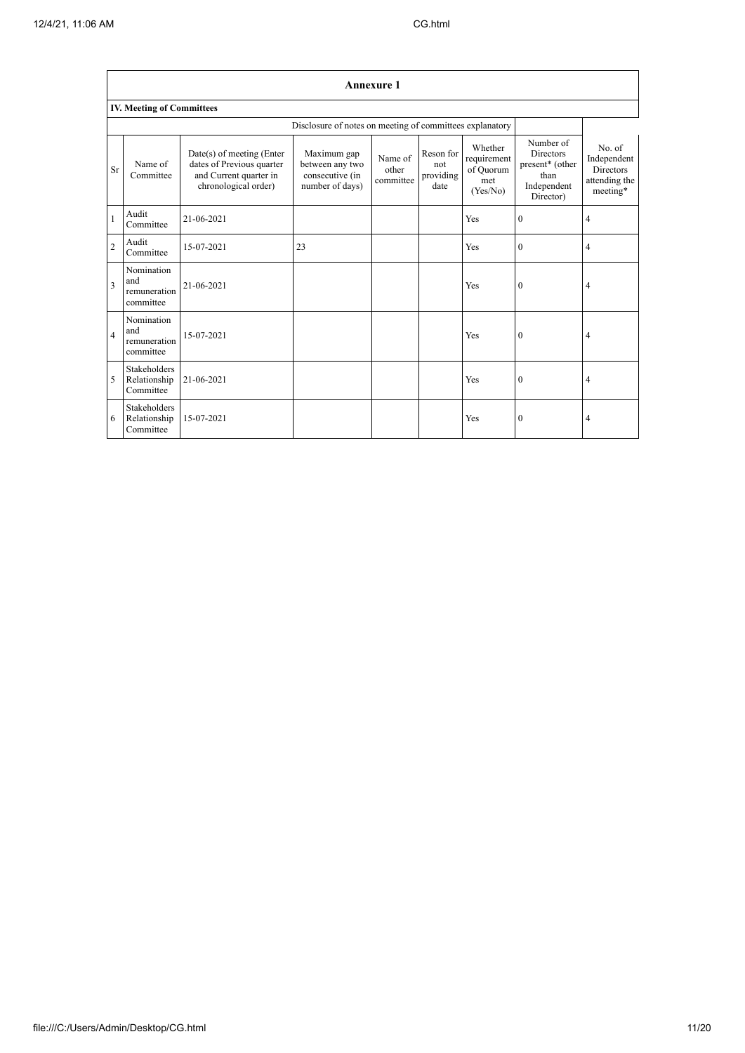$\overline{1}$ 

٦

|                |                                                  |                                                                                                          |                                                                      | <b>Annexure 1</b>             |                                       |                                                        |                                                                                      |                                                                        |
|----------------|--------------------------------------------------|----------------------------------------------------------------------------------------------------------|----------------------------------------------------------------------|-------------------------------|---------------------------------------|--------------------------------------------------------|--------------------------------------------------------------------------------------|------------------------------------------------------------------------|
|                | <b>IV. Meeting of Committees</b>                 |                                                                                                          |                                                                      |                               |                                       |                                                        |                                                                                      |                                                                        |
|                |                                                  |                                                                                                          | Disclosure of notes on meeting of committees explanatory             |                               |                                       |                                                        |                                                                                      |                                                                        |
| Sr             | Name of<br>Committee                             | Date(s) of meeting (Enter<br>dates of Previous quarter<br>and Current quarter in<br>chronological order) | Maximum gap<br>between any two<br>consecutive (in<br>number of days) | Name of<br>other<br>committee | Reson for<br>not<br>providing<br>date | Whether<br>requirement<br>of Quorum<br>met<br>(Yes/No) | Number of<br><b>Directors</b><br>present* (other<br>than<br>Independent<br>Director) | No. of<br>Independent<br><b>Directors</b><br>attending the<br>meeting* |
| 1              | Audit<br>Committee                               | 21-06-2021                                                                                               |                                                                      |                               |                                       | Yes                                                    | $\overline{0}$                                                                       | 4                                                                      |
| $\overline{2}$ | Audit<br>Committee                               | 15-07-2021                                                                                               | 23                                                                   |                               |                                       | Yes                                                    | $\overline{0}$                                                                       | 4                                                                      |
| $\overline{3}$ | Nomination<br>and<br>remuneration<br>committee   | 21-06-2021                                                                                               |                                                                      |                               |                                       | Yes                                                    | $\theta$                                                                             | 4                                                                      |
| $\overline{a}$ | Nomination<br>and<br>remuneration<br>committee   | 15-07-2021                                                                                               |                                                                      |                               |                                       | Yes                                                    | $\boldsymbol{0}$                                                                     | 4                                                                      |
| 5              | <b>Stakeholders</b><br>Relationship<br>Committee | 21-06-2021                                                                                               |                                                                      |                               |                                       | Yes                                                    | $\mathbf{0}$                                                                         | 4                                                                      |
| 6              | <b>Stakeholders</b><br>Relationship<br>Committee | 15-07-2021                                                                                               |                                                                      |                               |                                       | Yes                                                    | 0                                                                                    | 4                                                                      |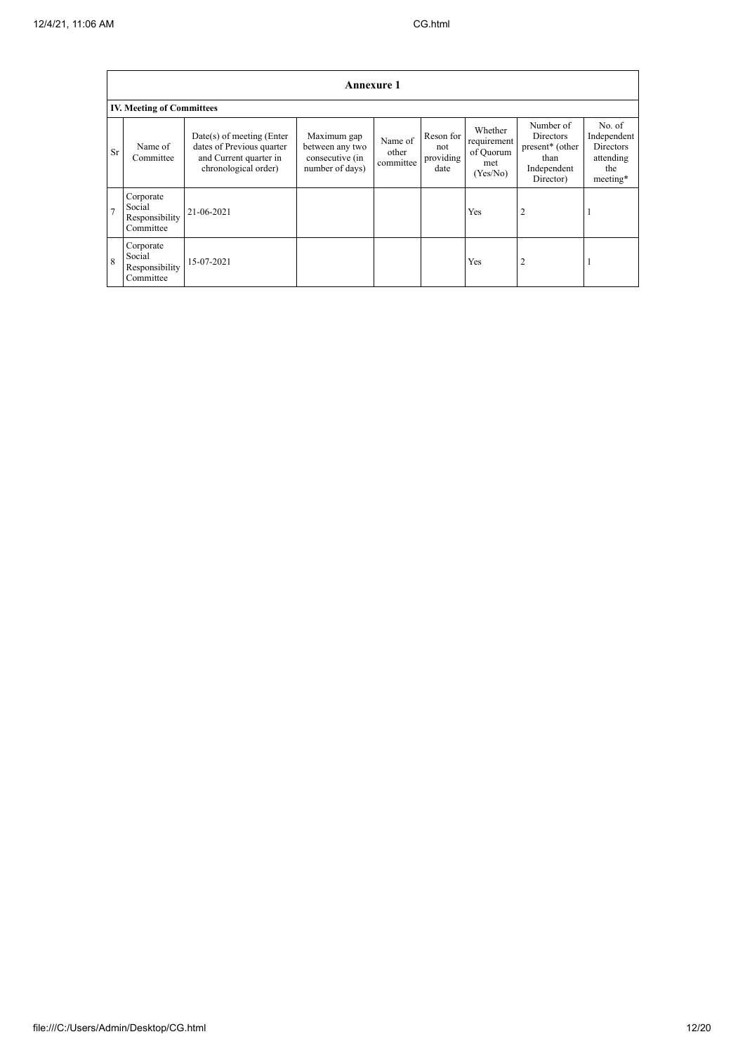|    |                                                    |                                                                                                            | <b>Annexure 1</b>                                                    |                               |                                       |                                                        |                                                                                           |                                                                    |  |  |
|----|----------------------------------------------------|------------------------------------------------------------------------------------------------------------|----------------------------------------------------------------------|-------------------------------|---------------------------------------|--------------------------------------------------------|-------------------------------------------------------------------------------------------|--------------------------------------------------------------------|--|--|
|    | <b>IV. Meeting of Committees</b>                   |                                                                                                            |                                                                      |                               |                                       |                                                        |                                                                                           |                                                                    |  |  |
| Sr | Name of<br>Committee                               | $Date(s)$ of meeting (Enter<br>dates of Previous quarter<br>and Current quarter in<br>chronological order) | Maximum gap<br>between any two<br>consecutive (in<br>number of days) | Name of<br>other<br>committee | Reson for<br>not<br>providing<br>date | Whether<br>requirement<br>of Quorum<br>met<br>(Yes/No) | Number of<br>Directors<br>present <sup>*</sup> (other<br>than<br>Independent<br>Director) | No. of<br>Independent<br>Directors<br>attending<br>the<br>meeting* |  |  |
| π  | Corporate<br>Social<br>Responsibility<br>Committee | 21-06-2021                                                                                                 |                                                                      |                               |                                       | Yes                                                    | $\overline{2}$                                                                            |                                                                    |  |  |
| 8  | Corporate<br>Social<br>Responsibility<br>Committee | 15-07-2021                                                                                                 |                                                                      |                               |                                       | Yes                                                    | $\overline{2}$                                                                            | -1                                                                 |  |  |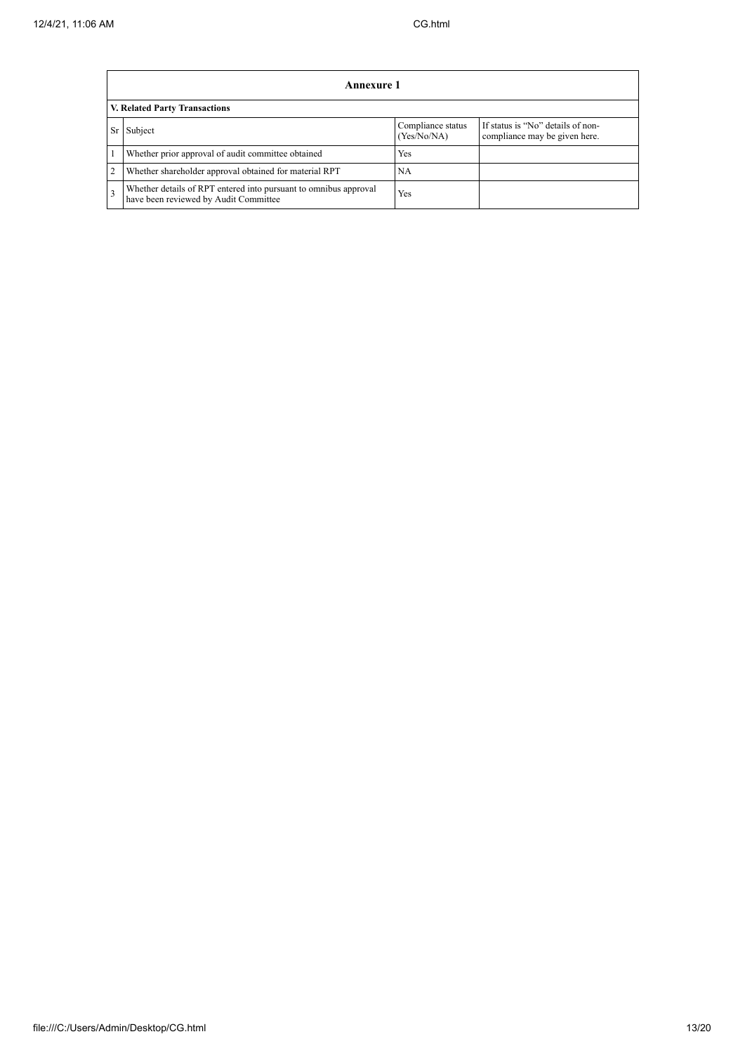|                 | Annexure 1                                                                                                |                                  |                                                                    |  |
|-----------------|-----------------------------------------------------------------------------------------------------------|----------------------------------|--------------------------------------------------------------------|--|
|                 | <b>V. Related Party Transactions</b>                                                                      |                                  |                                                                    |  |
| Sr <sub>1</sub> | Subject                                                                                                   | Compliance status<br>(Yes/No/NA) | If status is "No" details of non-<br>compliance may be given here. |  |
|                 | Whether prior approval of audit committee obtained                                                        | Yes                              |                                                                    |  |
| $\overline{c}$  | Whether shareholder approval obtained for material RPT                                                    | <b>NA</b>                        |                                                                    |  |
| 3               | Whether details of RPT entered into pursuant to omnibus approval<br>have been reviewed by Audit Committee | Yes                              |                                                                    |  |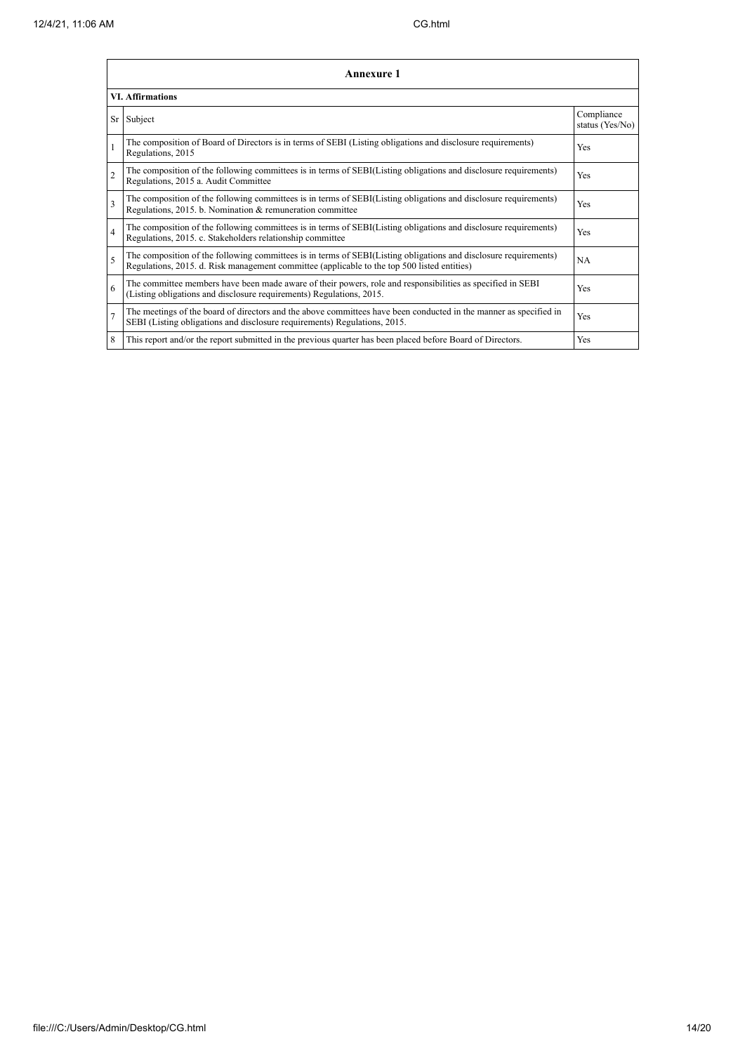|                | <b>Annexure 1</b>                                                                                                                                                                                               |                               |
|----------------|-----------------------------------------------------------------------------------------------------------------------------------------------------------------------------------------------------------------|-------------------------------|
|                | <b>VI.</b> Affirmations                                                                                                                                                                                         |                               |
|                | Sr Subject                                                                                                                                                                                                      | Compliance<br>status (Yes/No) |
|                | The composition of Board of Directors is in terms of SEBI (Listing obligations and disclosure requirements)<br>Regulations, 2015                                                                                | Yes                           |
| $\overline{c}$ | The composition of the following committees is in terms of SEBI(Listing obligations and disclosure requirements)<br>Regulations, 2015 a. Audit Committee                                                        | Yes                           |
| 3              | The composition of the following committees is in terms of SEBI(Listing obligations and disclosure requirements)<br>Regulations, 2015. b. Nomination & remuneration committee                                   | Yes                           |
| 4              | The composition of the following committees is in terms of SEBI(Listing obligations and disclosure requirements)<br>Regulations, 2015. c. Stakeholders relationship committee                                   | Yes                           |
| 5              | The composition of the following committees is in terms of SEBI(Listing obligations and disclosure requirements)<br>Regulations, 2015. d. Risk management committee (applicable to the top 500 listed entities) | <b>NA</b>                     |
| 6              | The committee members have been made aware of their powers, role and responsibilities as specified in SEBI<br>(Listing obligations and disclosure requirements) Regulations, 2015.                              | Yes                           |
| $\overline{7}$ | The meetings of the board of directors and the above committees have been conducted in the manner as specified in<br>SEBI (Listing obligations and disclosure requirements) Regulations, 2015.                  | Yes                           |
| 8              | This report and/or the report submitted in the previous quarter has been placed before Board of Directors.                                                                                                      | Yes                           |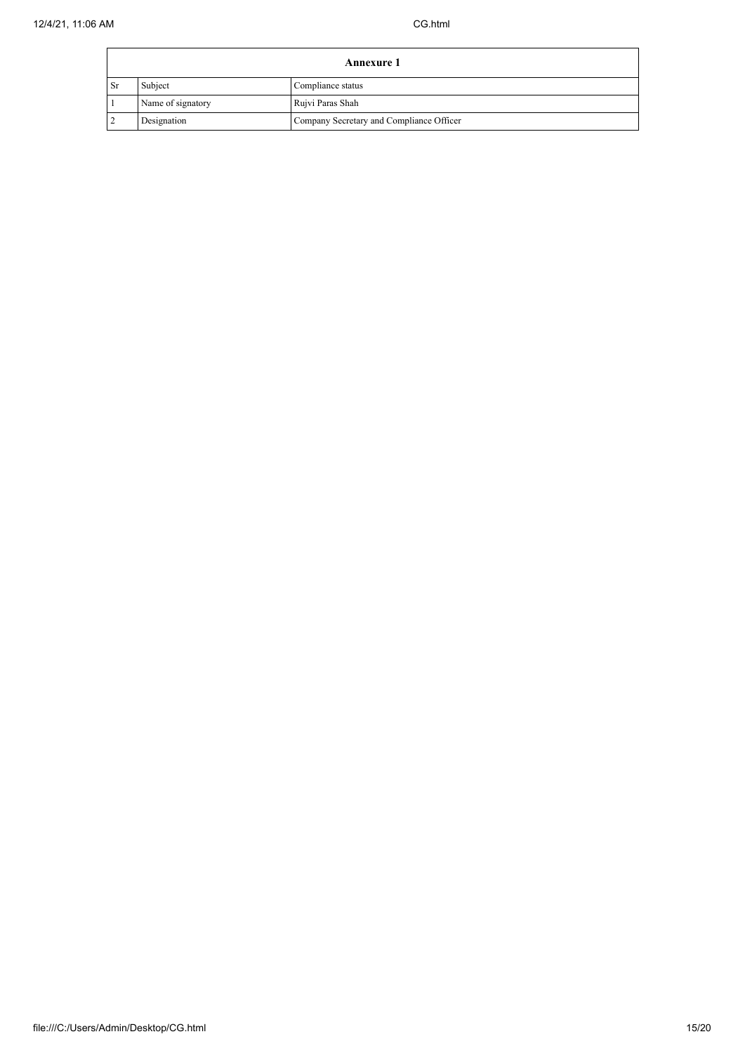| <b>Annexure 1</b> |                   |                                          |
|-------------------|-------------------|------------------------------------------|
| l Sr              | Subject           | Compliance status                        |
|                   | Name of signatory | Rujvi Paras Shah                         |
|                   | Designation       | Company Secretary and Compliance Officer |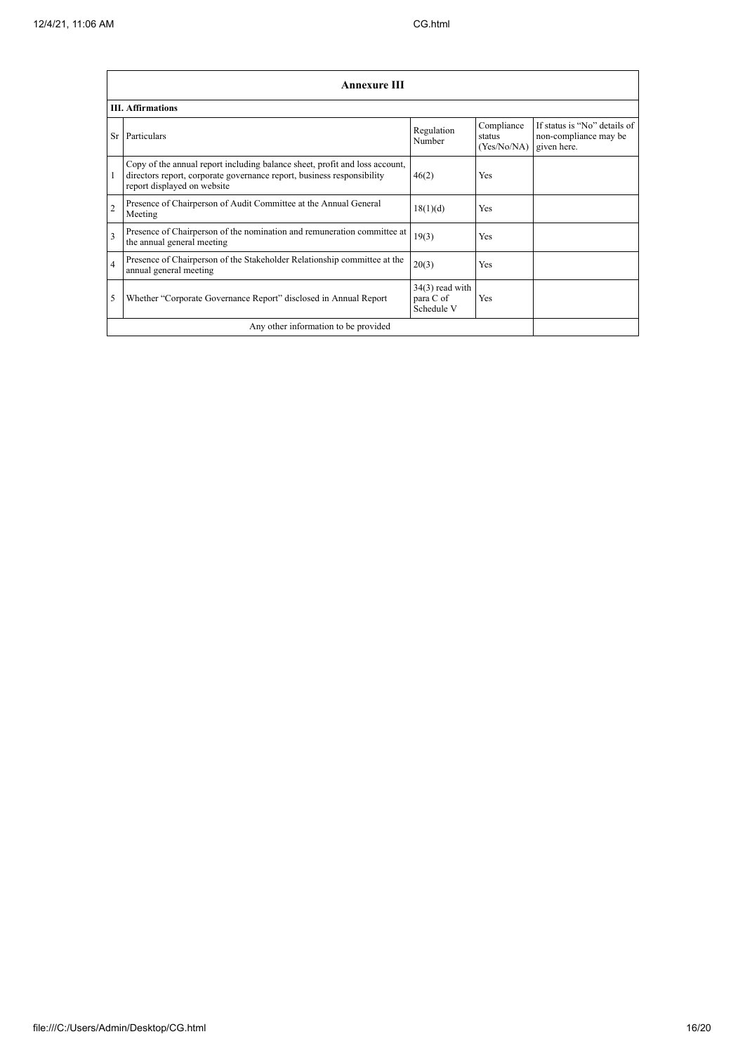|                | <b>Annexure III</b>                                                                                                                                                                  |                                              |                                     |                                                                      |
|----------------|--------------------------------------------------------------------------------------------------------------------------------------------------------------------------------------|----------------------------------------------|-------------------------------------|----------------------------------------------------------------------|
|                | <b>III.</b> Affirmations                                                                                                                                                             |                                              |                                     |                                                                      |
| Sr             | Particulars                                                                                                                                                                          | Regulation<br>Number                         | Compliance<br>status<br>(Yes/No/NA) | If status is "No" details of<br>non-compliance may be<br>given here. |
|                | Copy of the annual report including balance sheet, profit and loss account,<br>directors report, corporate governance report, business responsibility<br>report displayed on website | 46(2)                                        | Yes                                 |                                                                      |
| $\overline{2}$ | Presence of Chairperson of Audit Committee at the Annual General<br>Meeting                                                                                                          | 18(1)(d)                                     | <b>Yes</b>                          |                                                                      |
| 3              | Presence of Chairperson of the nomination and remuneration committee at<br>the annual general meeting                                                                                | 19(3)                                        | Yes                                 |                                                                      |
| $\overline{4}$ | Presence of Chairperson of the Stakeholder Relationship committee at the<br>annual general meeting                                                                                   | 20(3)                                        | <b>Yes</b>                          |                                                                      |
| 5              | Whether "Corporate Governance Report" disclosed in Annual Report                                                                                                                     | $34(3)$ read with<br>para C of<br>Schedule V | Yes                                 |                                                                      |
|                | Any other information to be provided                                                                                                                                                 |                                              |                                     |                                                                      |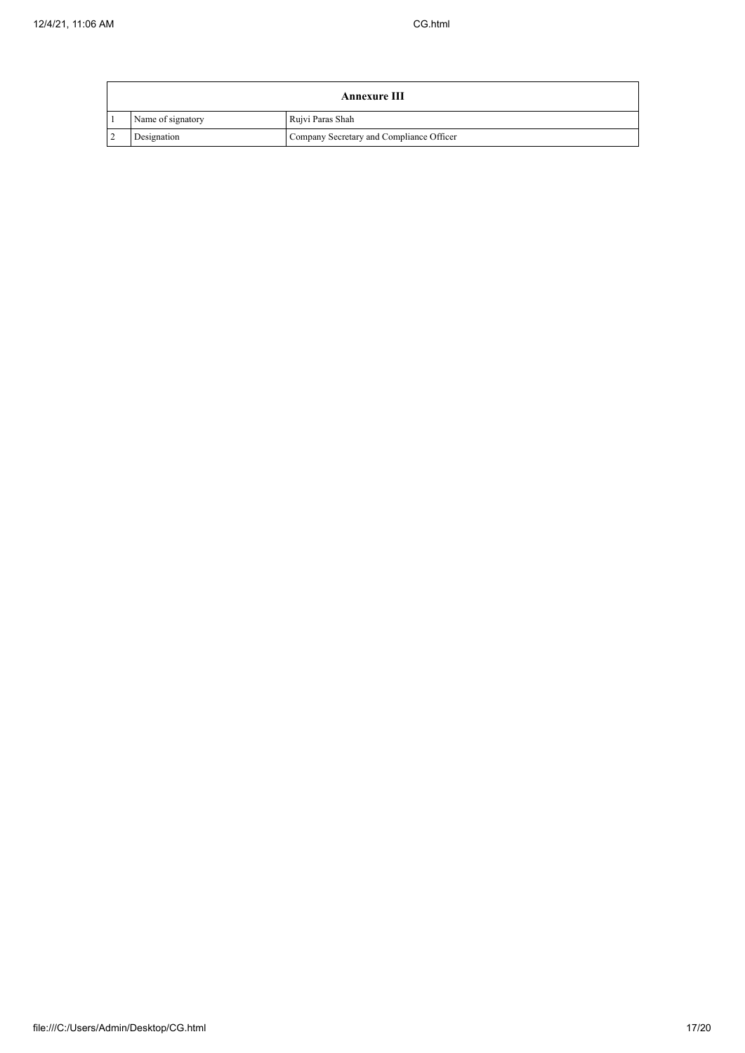| Annexure III |                   |                                          |  |
|--------------|-------------------|------------------------------------------|--|
|              | Name of signatory | Rujvi Paras Shah                         |  |
|              | Designation       | Company Secretary and Compliance Officer |  |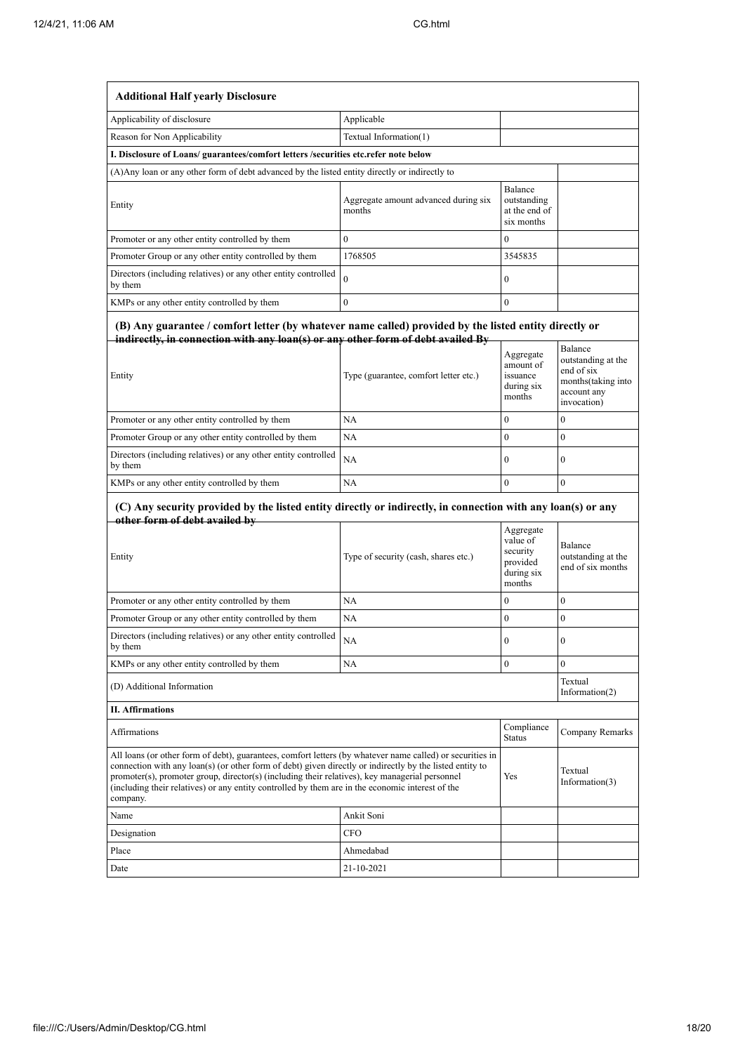| <b>Additional Half yearly Disclosure</b>                                                                                                                                                                                                                                                                                                                                                                                                |                                                |                                                                       |                                                                                                 |
|-----------------------------------------------------------------------------------------------------------------------------------------------------------------------------------------------------------------------------------------------------------------------------------------------------------------------------------------------------------------------------------------------------------------------------------------|------------------------------------------------|-----------------------------------------------------------------------|-------------------------------------------------------------------------------------------------|
| Applicability of disclosure                                                                                                                                                                                                                                                                                                                                                                                                             | Applicable                                     |                                                                       |                                                                                                 |
| Reason for Non Applicability                                                                                                                                                                                                                                                                                                                                                                                                            | Textual Information(1)                         |                                                                       |                                                                                                 |
| I. Disclosure of Loans/ guarantees/comfort letters /securities etc.refer note below                                                                                                                                                                                                                                                                                                                                                     |                                                |                                                                       |                                                                                                 |
| (A) Any loan or any other form of debt advanced by the listed entity directly or indirectly to                                                                                                                                                                                                                                                                                                                                          |                                                |                                                                       |                                                                                                 |
| Entity                                                                                                                                                                                                                                                                                                                                                                                                                                  | Aggregate amount advanced during six<br>months | Balance<br>outstanding<br>at the end of<br>six months                 |                                                                                                 |
| Promoter or any other entity controlled by them                                                                                                                                                                                                                                                                                                                                                                                         | $\mathbf{0}$                                   | $\mathbf{0}$                                                          |                                                                                                 |
| Promoter Group or any other entity controlled by them                                                                                                                                                                                                                                                                                                                                                                                   | 1768505                                        | 3545835                                                               |                                                                                                 |
| Directors (including relatives) or any other entity controlled<br>by them                                                                                                                                                                                                                                                                                                                                                               | $\theta$                                       | $\mathbf{0}$                                                          |                                                                                                 |
| KMPs or any other entity controlled by them                                                                                                                                                                                                                                                                                                                                                                                             | $\mathbf{0}$                                   | $\mathbf{0}$                                                          |                                                                                                 |
| (B) Any guarantee / comfort letter (by whatever name called) provided by the listed entity directly or<br>indirectly, in connection with any loan(s) or any other form of debt availed By<br>Entity                                                                                                                                                                                                                                     | Type (guarantee, comfort letter etc.)          | Aggregate<br>amount of<br>issuance<br>during six<br>months            | Balance<br>outstanding at the<br>end of six<br>months(taking into<br>account any<br>invocation) |
| Promoter or any other entity controlled by them                                                                                                                                                                                                                                                                                                                                                                                         | NA                                             | $\mathbf{0}$                                                          | $\mathbf{0}$                                                                                    |
| Promoter Group or any other entity controlled by them                                                                                                                                                                                                                                                                                                                                                                                   | <b>NA</b>                                      | $\mathbf{0}$                                                          | $\mathbf{0}$                                                                                    |
| Directors (including relatives) or any other entity controlled<br>by them                                                                                                                                                                                                                                                                                                                                                               | NA                                             | $\mathbf{0}$                                                          | $\boldsymbol{0}$                                                                                |
| KMPs or any other entity controlled by them                                                                                                                                                                                                                                                                                                                                                                                             | NA                                             | $\mathbf{0}$                                                          | $\boldsymbol{0}$                                                                                |
| (C) Any security provided by the listed entity directly or indirectly, in connection with any loan(s) or any<br>other form of debt availed by                                                                                                                                                                                                                                                                                           |                                                |                                                                       |                                                                                                 |
| Entity                                                                                                                                                                                                                                                                                                                                                                                                                                  | Type of security (cash, shares etc.)           | Aggregate<br>value of<br>security<br>provided<br>during six<br>months | Balance<br>outstanding at the<br>end of six months                                              |
| Promoter or any other entity controlled by them                                                                                                                                                                                                                                                                                                                                                                                         | NA                                             | $\bf{0}$                                                              | $\boldsymbol{0}$                                                                                |
| Promoter Group or any other entity controlled by them                                                                                                                                                                                                                                                                                                                                                                                   | NA                                             | $\boldsymbol{0}$                                                      | $\boldsymbol{0}$                                                                                |
| Directors (including relatives) or any other entity controlled<br>by them                                                                                                                                                                                                                                                                                                                                                               | NA                                             | 0                                                                     | 0                                                                                               |
| KMPs or any other entity controlled by them                                                                                                                                                                                                                                                                                                                                                                                             | NA                                             | $\boldsymbol{0}$                                                      | $\overline{0}$                                                                                  |
| (D) Additional Information                                                                                                                                                                                                                                                                                                                                                                                                              |                                                |                                                                       | Textual<br>Information $(2)$                                                                    |
| <b>II. Affirmations</b>                                                                                                                                                                                                                                                                                                                                                                                                                 |                                                |                                                                       |                                                                                                 |
| Affirmations                                                                                                                                                                                                                                                                                                                                                                                                                            |                                                |                                                                       | Company Remarks                                                                                 |
| All loans (or other form of debt), guarantees, comfort letters (by whatever name called) or securities in<br>connection with any loan(s) (or other form of debt) given directly or indirectly by the listed entity to<br>promoter(s), promoter group, director(s) (including their relatives), key managerial personnel<br>(including their relatives) or any entity controlled by them are in the economic interest of the<br>company. |                                                |                                                                       | Textual<br>Information $(3)$                                                                    |
| Name                                                                                                                                                                                                                                                                                                                                                                                                                                    | Ankit Soni                                     |                                                                       |                                                                                                 |
| Designation                                                                                                                                                                                                                                                                                                                                                                                                                             | <b>CFO</b>                                     |                                                                       |                                                                                                 |
| Place                                                                                                                                                                                                                                                                                                                                                                                                                                   | Ahmedabad                                      |                                                                       |                                                                                                 |
| Date                                                                                                                                                                                                                                                                                                                                                                                                                                    | 21-10-2021                                     |                                                                       |                                                                                                 |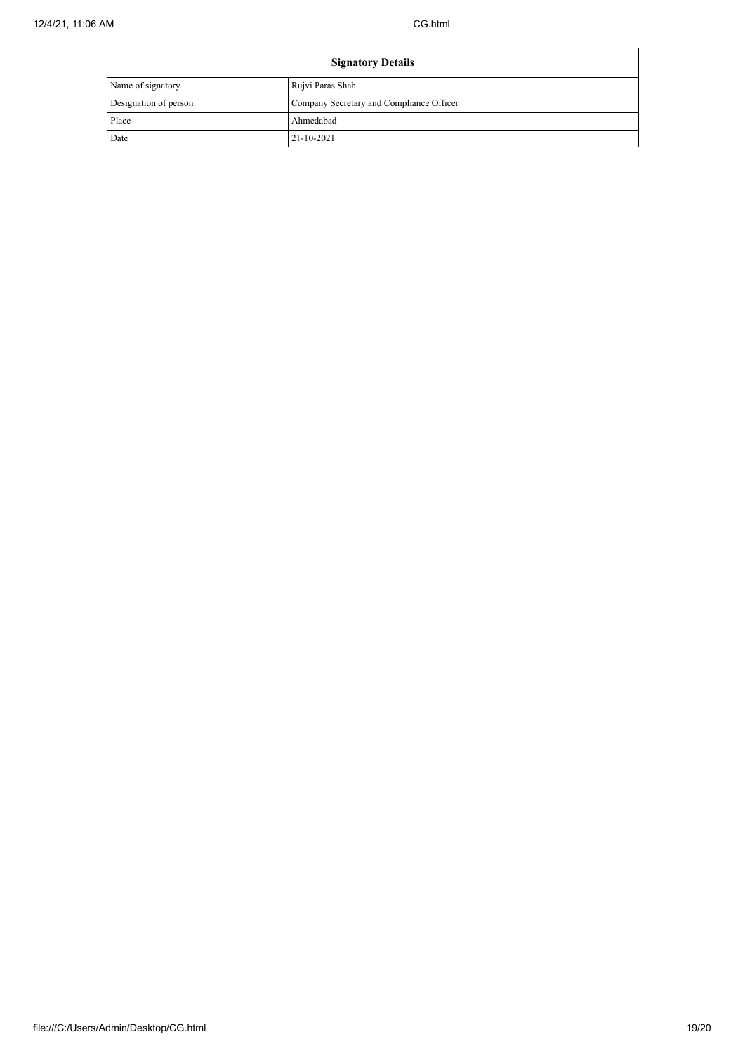| <b>Signatory Details</b> |                                          |
|--------------------------|------------------------------------------|
| Name of signatory        | Rujvi Paras Shah                         |
| Designation of person    | Company Secretary and Compliance Officer |
| Place                    | Ahmedabad                                |
| Date                     | 21-10-2021                               |